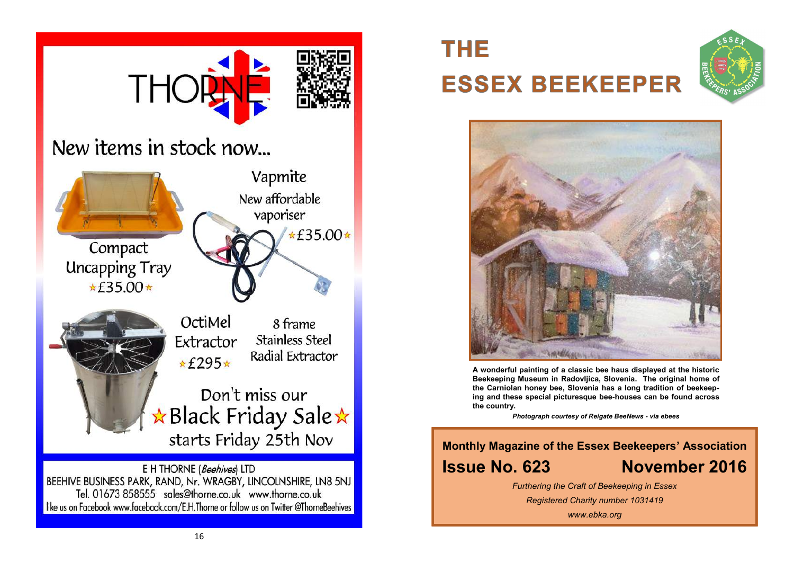

**THE ESSEX BEEKEEPER** 





**A wonderful painting of a classic bee haus displayed at the historic Beekeeping Museum in Radovljica, Slovenia. The original home of the Carniolan honey bee, Slovenia has a long tradition of beekeeping and these special picturesque bee-houses can be found across the country.**

*Photograph courtesy of Reigate BeeNews* **-** *via ebees*

**Monthly Magazine of the Essex Beekeepers' Association Issue No. 623 November 2016**

*Furthering the Craft of Beekeeping in Essex*

*Registered Charity number 1031419*

*www.ebka.org*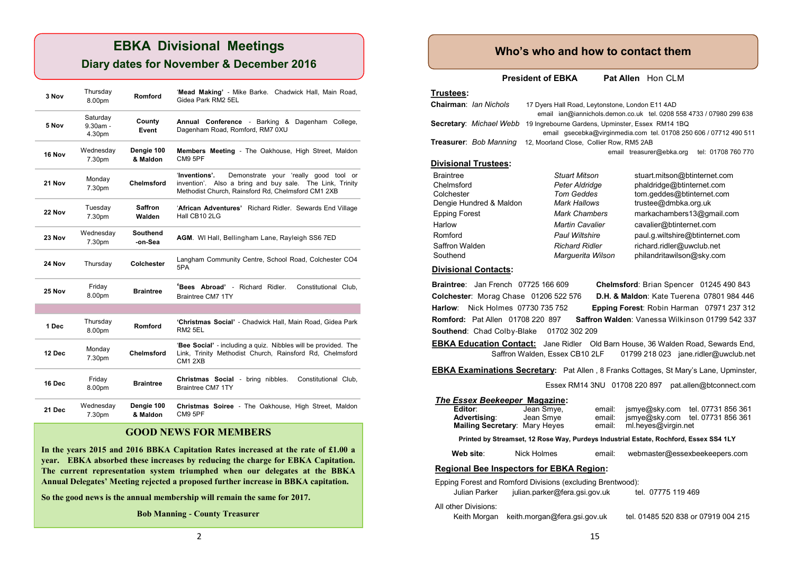## **EBKA Divisional Meetings**

## **Diary dates for November & December 2016**

| 3 Nov  | Thursday<br>8.00pm               | Romford                | 'Mead Making' - Mike Barke. Chadwick Hall, Main Road,<br>Gidea Park RM2 5EL                                                                                              |
|--------|----------------------------------|------------------------|--------------------------------------------------------------------------------------------------------------------------------------------------------------------------|
| 5 Nov  | Saturday<br>$9.30am -$<br>4.30pm | County<br>Event        | Annual Conference - Barking & Dagenham College,<br>Dagenham Road, Romford, RM7 0XU                                                                                       |
| 16 Nov | Wednesday<br>7.30pm              | Dengie 100<br>& Maldon | Members Meeting - The Oakhouse, High Street, Maldon<br>CM9 5PF                                                                                                           |
| 21 Nov | Monday<br>7.30pm                 | <b>Chelmsford</b>      | 'Inventions'.<br>Demonstrate your 'really good tool or<br>invention'. Also a bring and buy sale. The Link, Trinity<br>Methodist Church, Rainsford Rd, Chelmsford CM1 2XB |
| 22 Nov | Tuesday<br>7.30pm                | Saffron<br>Walden      | 'African Adventures' Richard Ridler. Sewards End Village<br>Hall CB10 2LG                                                                                                |
| 23 Nov | Wednesday<br>7.30pm              | Southend<br>-on-Sea    | AGM. WI Hall, Bellingham Lane, Rayleigh SS6 7ED                                                                                                                          |
| 24 Nov | Thursday                         | Colchester             | Langham Community Centre, School Road, Colchester CO4<br>5PA                                                                                                             |
| 25 Nov | Friday<br>8.00pm                 | <b>Braintree</b>       | 'Bees Abroad' - Richard Ridler.<br>Constitutional Club.<br><b>Braintree CM7 1TY</b>                                                                                      |
|        |                                  |                        |                                                                                                                                                                          |
| 1 Dec  | Thursday<br>8.00pm               | Romford                | 'Christmas Social' - Chadwick Hall, Main Road, Gidea Park<br><b>RM2 5EL</b>                                                                                              |
| 12 Dec | Monday<br>7.30pm                 | Chelmsford             | 'Bee Social' - including a quiz. Nibbles will be provided. The<br>Link, Trinity Methodist Church, Rainsford Rd, Chelmsford<br>CM1 2XB                                    |
| 16 Dec | Friday<br>8.00pm                 | <b>Braintree</b>       | Christmas Social - bring nibbles.<br>Constitutional Club,<br>Braintree CM7 1TY                                                                                           |
| 21 Dec | Wednesday<br>7.30pm              | Dengie 100<br>& Maldon | Christmas Soiree - The Oakhouse, High Street, Maldon<br>CM9 5PF                                                                                                          |

#### **GOOD NEWS FOR MEMBERS**

**In the years 2015 and 2016 BBKA Capitation Rates increased at the rate of £1.00 a year. EBKA absorbed these increases by reducing the charge for EBKA Capitation. The current representation system triumphed when our delegates at the BBKA Annual Delegates' Meeting rejected a proposed further increase in BBKA capitation.** 

**So the good news is the annual membership will remain the same for 2017.**

**Bob Manning - County Treasurer**

## **Who's who and how to contact them**

**President of EBKA** Pat Allen Hon CLM

#### **Trustees:**

| Chairman: Ian Nichols       | 17 Dyers Hall Road, Leytonstone, London E11 4AD   | email ian@iannichols.demon.co.uk tel. 0208 558 4733 / 07980 299 638 |
|-----------------------------|---------------------------------------------------|---------------------------------------------------------------------|
| Secretary: Michael Webb     | 19 Ingrebourne Gardens, Upminster, Essex RM14 1BQ | email qsecebka@virqinmedia.com tel. 01708 250 606 / 07712 490 511   |
| Treasurer: Bob Manning      | 12, Moorland Close, Collier Row, RM5 2AB          |                                                                     |
|                             |                                                   | tel: 01708 760 770<br>email treasurer@ebka.org                      |
| <b>Divisional Trustees:</b> |                                                   |                                                                     |
| <b>Braintree</b>            | <b>Stuart Mitson</b>                              | stuart.mitson@btinternet.com                                        |
| Chelmsford                  | Peter Aldridge                                    | phaldridge@btinternet.com                                           |
| Colchester                  | <b>Tom Geddes</b>                                 | tom.geddes@btinternet.com                                           |
| Dengie Hundred & Maldon     | Mark Hallows                                      | trustee@dmbka.org.uk                                                |
| <b>Epping Forest</b>        | <b>Mark Chambers</b>                              | markachambers13@gmail.com                                           |
| Harlow                      | <b>Martin Cavalier</b>                            | cavalier@btinternet.com                                             |
| Romford                     | <b>Paul Wiltshire</b>                             | paul.g.wiltshire@btinternet.com                                     |
| Saffron Walden              | Richard Ridler                                    | richard.ridler@uwclub.net                                           |
| Southend                    | Marquerita Wilson                                 | philandritawilson@sky.com                                           |

#### **Divisional Contacts:**

**Braintree**: Jan French 07725 166 609 **Chelmsford**: Brian Spencer 01245 490 843 **Colchester**: Morag Chase 01206 522 576 **D.H. & Maldon**: Kate Tuerena 07801 984 446 **Harlow**: Nick Holmes 07730 735 752 **Epping Forest**: Robin Harman 07971 237 312 **Romford:** Pat Allen 01708 220 897 **Saffron Walden**: Vanessa Wilkinson 01799 542 337 **Southend: Chad Colby-Blake 01702 302 209** 

**EBKA Education Contact:** Jane Ridler Old Barn House, 36 Walden Road, Sewards End, Saffron Walden, Essex CB10 2LF 01799 218 023 jane.ridler@uwclub.net

**EBKA Examinations Secretary:** Pat Allen , 8 Franks Cottages, St Mary's Lane, Upminster,

Essex RM14 3NU 01708 220 897 pat.allen@btconnect.com

Marguerita Wilson philandritawilson@sky.com

#### *The Essex Beekeeper* **Magazine:**

| Editor:<br>Advertising:<br><b>Mailing Secretary: Mary Heyes</b> | Jean Smye,<br>Jean Smye                                                               | email:<br>email:<br>email: | ml.heyes@virgin.net | jsmye@sky.com tel. 07731 856 361<br>jsmye@sky.com tel. 07731 856 361 |
|-----------------------------------------------------------------|---------------------------------------------------------------------------------------|----------------------------|---------------------|----------------------------------------------------------------------|
|                                                                 | Printed by Streamset, 12 Rose Way, Purdeys Industrial Estate, Rochford, Essex SS4 1LY |                            |                     |                                                                      |

 **Web site**: Nick Holmes email: webmaster@essexbeekeepers.com

#### **Regional Bee Inspectors for EBKA Region:**

Epping Forest and Romford Divisions (excluding Brentwood):

| Julian Parker        | julian.parker@fera.gsi.gov.uk             | tel. 07775 119 469                  |
|----------------------|-------------------------------------------|-------------------------------------|
| All other Divisions: |                                           |                                     |
|                      | Keith Morgan keith morgan@fera.gsi.gov.uk | tel. 01485 520 838 or 07919 004 215 |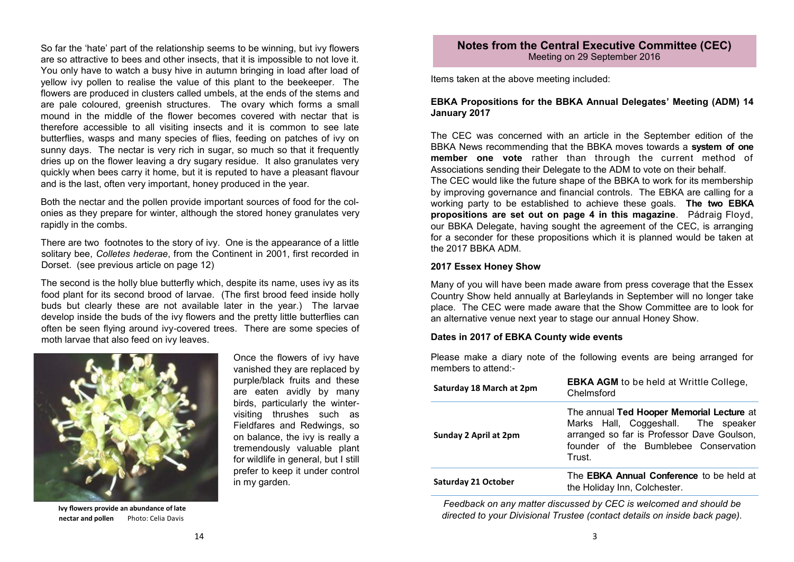So far the 'hate' part of the relationship seems to be winning, but ivy flowers are so attractive to bees and other insects, that it is impossible to not love it. You only have to watch a busy hive in autumn bringing in load after load of yellow ivy pollen to realise the value of this plant to the beekeeper. The flowers are produced in clusters called umbels, at the ends of the stems and are pale coloured, greenish structures. The ovary which forms a small mound in the middle of the flower becomes covered with nectar that is therefore accessible to all visiting insects and it is common to see late butterflies, wasps and many species of flies, feeding on patches of ivy on sunny days. The nectar is very rich in sugar, so much so that it frequently dries up on the flower leaving a dry sugary residue. It also granulates very quickly when bees carry it home, but it is reputed to have a pleasant flavour and is the last, often very important, honey produced in the year.

Both the nectar and the pollen provide important sources of food for the colonies as they prepare for winter, although the stored honey granulates very rapidly in the combs.

There are two footnotes to the story of ivy. One is the appearance of a little solitary bee, *Colletes hederae*, from the Continent in 2001, first recorded in Dorset. (see previous article on page 12)

The second is the holly blue butterfly which, despite its name, uses ivy as its food plant for its second brood of larvae. (The first brood feed inside holly buds but clearly these are not available later in the year.) The larvae develop inside the buds of the ivy flowers and the pretty little butterflies can often be seen flying around ivy-covered trees. There are some species of moth larvae that also feed on ivy leaves.



**Ivy flowers provide an abundance of late nectar and pollen** Photo: Celia Davis

Once the flowers of ivy have vanished they are replaced by purple/black fruits and these are eaten avidly by many birds, particularly the wintervisiting thrushes such as Fieldfares and Redwings, so on balance, the ivy is really a tremendously valuable plant for wildlife in general, but I still prefer to keep it under control in my garden.

#### **Notes from the Central Executive Committee (CEC)** Meeting on 29 September 2016

Items taken at the above meeting included:

#### **EBKA Propositions for the BBKA Annual Delegates' Meeting (ADM) 14 January 2017**

The CEC was concerned with an article in the September edition of the BBKA News recommending that the BBKA moves towards a **system of one member one vote** rather than through the current method of Associations sending their Delegate to the ADM to vote on their behalf.

The CEC would like the future shape of the BBKA to work for its membership by improving governance and financial controls. The EBKA are calling for a working party to be established to achieve these goals. **The two EBKA propositions are set out on page 4 in this magazine**. Pádraig Floyd, our BBKA Delegate, having sought the agreement of the CEC, is arranging for a seconder for these propositions which it is planned would be taken at the 2017 BBKA ADM.

#### **2017 Essex Honey Show**

Many of you will have been made aware from press coverage that the Essex Country Show held annually at Barleylands in September will no longer take place. The CEC were made aware that the Show Committee are to look for an alternative venue next year to stage our annual Honey Show.

#### **Dates in 2017 of EBKA County wide events**

Please make a diary note of the following events are being arranged for members to attend:-

| Saturday 18 March at 2pm   | <b>EBKA AGM</b> to be held at Writtle College,<br>Chelmsford                                                                                                                      |
|----------------------------|-----------------------------------------------------------------------------------------------------------------------------------------------------------------------------------|
| Sunday 2 April at 2pm      | The annual Ted Hooper Memorial Lecture at<br>Marks Hall, Coggeshall. The speaker<br>arranged so far is Professor Dave Goulson,<br>founder of the Bumblebee Conservation<br>Trust. |
| <b>Saturday 21 October</b> | The <b>EBKA Annual Conference</b> to be held at<br>the Holiday Inn, Colchester.                                                                                                   |

*Feedback on any matter discussed by CEC is welcomed and should be directed to your Divisional Trustee (contact details on inside back page).*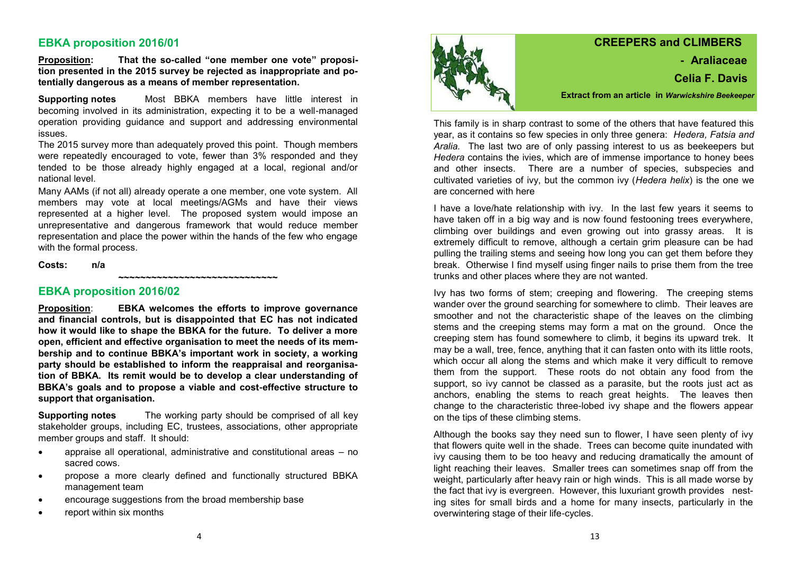### **EBKA proposition 2016/01**

**Proposition: That the so-called "one member one vote" proposition presented in the 2015 survey be rejected as inappropriate and potentially dangerous as a means of member representation.** 

**Supporting notes** Most BBKA members have little interest in becoming involved in its administration, expecting it to be a well-managed operation providing guidance and support and addressing environmental issues.

The 2015 survey more than adequately proved this point. Though members were repeatedly encouraged to vote, fewer than 3% responded and they tended to be those already highly engaged at a local, regional and/or national level.

Many AAMs (if not all) already operate a one member, one vote system. All members may vote at local meetings/AGMs and have their views represented at a higher level. The proposed system would impose an unrepresentative and dangerous framework that would reduce member representation and place the power within the hands of the few who engage with the formal process.

**~~~~~~~~~~~~~~~~~~~~~~~~~~~~~**

#### **Costs: n/a**

#### **EBKA proposition 2016/02**

**Proposition**: **EBKA welcomes the efforts to improve governance and financial controls, but is disappointed that EC has not indicated how it would like to shape the BBKA for the future. To deliver a more open, efficient and effective organisation to meet the needs of its membership and to continue BBKA's important work in society, a working party should be established to inform the reappraisal and reorganisation of BBKA. Its remit would be to develop a clear understanding of BBKA's goals and to propose a viable and cost-effective structure to support that organisation.** 

**Supporting notes** The working party should be comprised of all key stakeholder groups, including EC, trustees, associations, other appropriate member groups and staff. It should:

- appraise all operational, administrative and constitutional areas no sacred cows.
- propose a more clearly defined and functionally structured BBKA management team
- encourage suggestions from the broad membership base
- report within six months



## **CREEPERS and CLIMBERS - Araliaceae Celia F. Davis Extract from an article in** *Warwickshire Beekeeper*

This family is in sharp contrast to some of the others that have featured this year, as it contains so few species in only three genera: *Hedera, Fatsia and Aralia.* The last two are of only passing interest to us as beekeepers but *Hedera* contains the ivies, which are of immense importance to honey bees and other insects. There are a number of species, subspecies and cultivated varieties of ivy, but the common ivy (*Hedera helix*) is the one we are concerned with here

I have a love/hate relationship with ivy. In the last few years it seems to have taken off in a big way and is now found festooning trees everywhere, climbing over buildings and even growing out into grassy areas. It is extremely difficult to remove, although a certain grim pleasure can be had pulling the trailing stems and seeing how long you can get them before they break. Otherwise I find myself using finger nails to prise them from the tree trunks and other places where they are not wanted.

Ivy has two forms of stem; creeping and flowering. The creeping stems wander over the ground searching for somewhere to climb. Their leaves are smoother and not the characteristic shape of the leaves on the climbing stems and the creeping stems may form a mat on the ground. Once the creeping stem has found somewhere to climb, it begins its upward trek. It may be a wall, tree, fence, anything that it can fasten onto with its little roots, which occur all along the stems and which make it very difficult to remove them from the support. These roots do not obtain any food from the support, so ivy cannot be classed as a parasite, but the roots just act as anchors, enabling the stems to reach great heights. The leaves then change to the characteristic three-lobed ivy shape and the flowers appear on the tips of these climbing stems.

Although the books say they need sun to flower, I have seen plenty of ivy that flowers quite well in the shade. Trees can become quite inundated with ivy causing them to be too heavy and reducing dramatically the amount of light reaching their leaves. Smaller trees can sometimes snap off from the weight, particularly after heavy rain or high winds. This is all made worse by the fact that ivy is evergreen. However, this luxuriant growth provides nesting sites for small birds and a home for many insects, particularly in the overwintering stage of their life-cycles.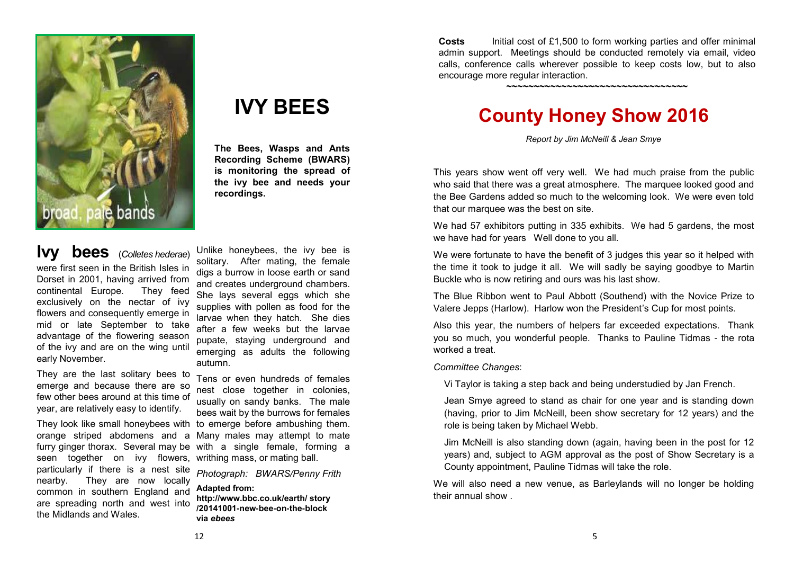

# **IVY BEES**

**The Bees, Wasps and Ants Recording Scheme (BWARS) is monitoring the spread of the ivy bee and needs your recordings.** 

**Ivy bees** (*Colletes hederae*) were first seen in the British Isles in Dorset in 2001, having arrived from continental Europe. They feed exclusively on the nectar of ivy flowers and consequently emerge in mid or late September to take advantage of the flowering season of the ivy and are on the wing until early November.

They are the last solitary bees to emerge and because there are so few other bees around at this time of year, are relatively easy to identify.

seen together on ivy flowers, writhing mass, or mating ball. particularly if there is a nest site nearby. They are now locally common in southern England and are spreading north and west into the Midlands and Wales.

Unlike honeybees, the ivy bee is solitary. After mating, the female digs a burrow in loose earth or sand and creates underground chambers. She lays several eggs which she supplies with pollen as food for the larvae when they hatch. She dies after a few weeks but the larvae pupate, staying underground and emerging as adults the following autumn.

They look like small honeybees with to emerge before ambushing them. orange striped abdomens and a Many males may attempt to mate furry ginger thorax. Several may be with a single female, forming a Tens or even hundreds of females nest close together in colonies, usually on sandy banks. The male bees wait by the burrows for females

> *Photograph: BWARS/Penny Frith*  **Adapted from:**

**http://www.bbc.co.uk/earth/ story /20141001-new-bee-on-the-block via** *ebees*

**Costs** Initial cost of £1,500 to form working parties and offer minimal admin support. Meetings should be conducted remotely via email, video calls, conference calls wherever possible to keep costs low, but to also encourage more regular interaction.

**~~~~~~~~~~~~~~~~~~~~~~~~~~~~~~~~~**

**County Honey Show 2016** 

*Report by Jim McNeill & Jean Smye*

This years show went off very well. We had much praise from the public who said that there was a great atmosphere. The marquee looked good and the Bee Gardens added so much to the welcoming look. We were even told that our marquee was the best on site.

We had 57 exhibitors putting in 335 exhibits. We had 5 gardens, the most we have had for years Well done to you all.

We were fortunate to have the benefit of 3 judges this year so it helped with the time it took to judge it all. We will sadly be saying goodbye to Martin Buckle who is now retiring and ours was his last show.

The Blue Ribbon went to Paul Abbott (Southend) with the Novice Prize to Valere Jepps (Harlow). Harlow won the President's Cup for most points.

Also this year, the numbers of helpers far exceeded expectations. Thank you so much, you wonderful people. Thanks to Pauline Tidmas - the rota worked a treat.

*Committee Changes*:

Vi Taylor is taking a step back and being understudied by Jan French.

Jean Smye agreed to stand as chair for one year and is standing down (having, prior to Jim McNeill, been show secretary for 12 years) and the role is being taken by Michael Webb.

Jim McNeill is also standing down (again, having been in the post for 12 years) and, subject to AGM approval as the post of Show Secretary is a County appointment, Pauline Tidmas will take the role.

We will also need a new venue, as Barleylands will no longer be holding their annual show .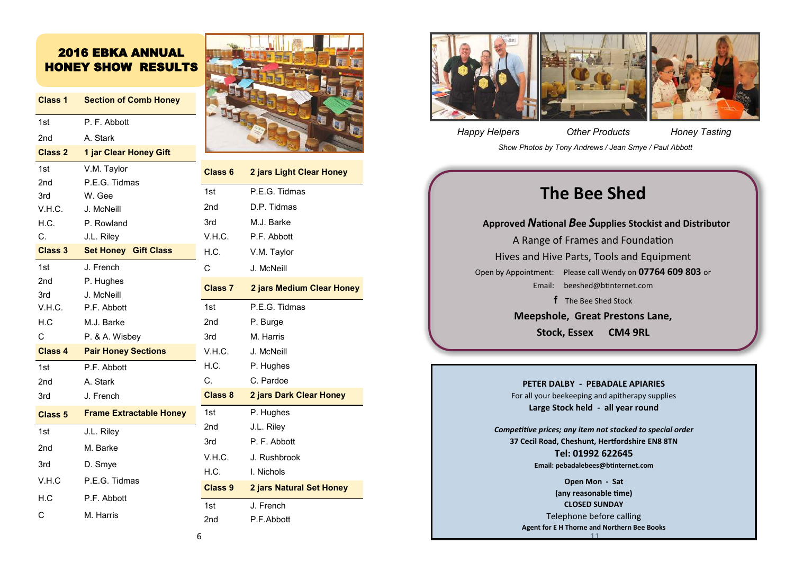## 2016 EBKA ANNUAL HONEY SHOW RESULTS

| Class 1            | <b>Section of Comb Honey</b>   |                |
|--------------------|--------------------------------|----------------|
| 1st                | P. F. Abbott                   |                |
| 2nd                | A. Stark                       |                |
| <b>Class 2</b>     | 1 jar Clear Honey Gift         |                |
| 1st                | V.M. Taylor                    | <b>Class 6</b> |
| 2 <sub>nd</sub>    | P.E.G. Tidmas                  | 1st            |
| 3rd                | W. Gee                         |                |
| V.H.C.             | J. McNeill                     | 2nd            |
| H.C.               | P. Rowland                     | 3rd            |
| C.                 | J.L. Riley                     | V.H.C.         |
| <b>Class 3</b>     | <b>Set Honey Gift Class</b>    | H.C.           |
| 1st                | J. French                      | C              |
| 2nd                | P. Hughes                      | <b>Class 7</b> |
| 3rd                | J. McNeill                     |                |
| V.H.C.             | P.F. Abbott                    | 1st            |
| H.C                | M.J. Barke                     | 2nd            |
| C                  | P. & A. Wisbey                 | 3rd            |
| <b>Class 4</b>     | <b>Pair Honey Sections</b>     | V.H.C.         |
| 1st                | P.F. Abbott                    | H.C.           |
| 2nd                | A. Stark                       | C.             |
| 3rd                | J. French                      | <b>Class 8</b> |
| Class <sub>5</sub> | <b>Frame Extractable Honey</b> | 1st            |
| 1st                | J.L. Riley                     | 2nd            |
| 2 <sub>nd</sub>    | M. Barke                       | 3rd            |
| 3rd                | D. Smye                        | V.H.C.         |
| V.H.C              | P.E.G. Tidmas                  | H.C.           |
| H.C                | P.F. Abbott                    | Class 9        |
|                    |                                | 1st            |
| C                  | M. Harris                      | 2nd            |



**Class 6 2 jars Light Clear Honey**

**Class 7 2 jars Medium Clear Honey**

**Class 8 2 jars Dark Clear Honey**

**Class 9 2 jars Natural Set Honey**

P.E.G. Tidmas D.P. Tidmas M.J. Barke P.F. Abbott V.M. Taylor J. McNeill

P.F.G. Tidmas

P. Burge M. Harris J. McNeill P. Hughes C. C. Pardoe

P. Hughes J.L. Riley P. F. Abbott J. Rushbrook **H.** Nichols

J. French P.F.Abbott



*Happy Helpers Other Products Honey Tasting*

*Show Photos by Tony Andrews / Jean Smye / Paul Abbott*

# **The Bee Shed**

**Approved** *N***ational** *B***ee** *S***upplies Stockist and Distributor** A Range of Frames and Foundation Hives and Hive Parts, Tools and Equipment Open by Appointment: Please call Wendy on **07764 609 803** or Email: [beeshed@btinternet.com](mailto:beeshed@btinternet.com)  **f** The Bee Shed Stock **Meepshole, Great Prestons Lane, Stock, Essex CM4 9RL**

**PETER DALBY - PEBADALE APIARIES**

For all your beekeeping and apitherapy supplies **Large Stock held - all year round**

*Competitive prices; any item not stocked to special order* **37 Cecil Road, Cheshunt, Hertfordshire EN8 8TN Tel: 01992 622645 Email: pebadalebees@btinternet.com**

> 11 **Open Mon - Sat (any reasonable time) CLOSED SUNDAY** Telephone before calling **Agent for E H Thorne and Northern Bee Books**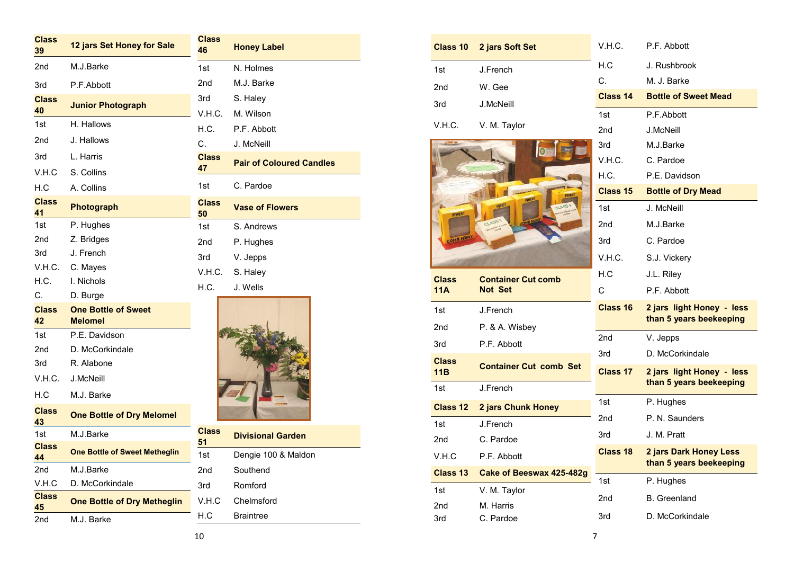| <b>Class</b><br>39       | 12 jars Set Honey for Sale                               | <b>Class</b><br>46 | <b>Honey Label</b>              |
|--------------------------|----------------------------------------------------------|--------------------|---------------------------------|
| 2nd                      | M.J.Barke                                                | 1st                | N. Holmes                       |
| 3rd                      | P.F.Abbott                                               | 2 <sub>nd</sub>    | M.J. Barke                      |
| <b>Class</b><br>40       | <b>Junior Photograph</b>                                 | 3rd<br>V.H.C.      | S. Haley<br>M. Wilson           |
| 1st                      | H. Hallows                                               | H.C.               | P.F. Abbott                     |
| 2nd                      | J. Hallows                                               | C.                 | J. McNeill                      |
| 3rd                      | L. Harris                                                | <b>Class</b>       | <b>Pair of Coloured Candles</b> |
| V.H.C                    | S. Collins                                               | 47                 |                                 |
| H.C                      | A. Collins                                               | 1st                | C. Pardoe                       |
| <b>Class</b><br>41       | <b>Photograph</b>                                        | <b>Class</b><br>50 | <b>Vase of Flowers</b>          |
| 1st                      | P. Hughes                                                | 1st                | S. Andrews                      |
| 2nd                      | Z. Bridges                                               | 2nd                | P. Hughes                       |
| 3rd                      | J. French                                                | 3rd                | V. Jepps                        |
| V.H.C.                   | C. Mayes                                                 | V.H.C.             | S. Haley                        |
| H.C.                     | I. Nichols                                               | H.C.               | J. Wells                        |
| C.<br><b>Class</b><br>42 | D. Burge<br><b>One Bottle of Sweet</b><br><b>Melomel</b> |                    |                                 |
| 1st                      | P.E. Davidson                                            |                    |                                 |
| 2 <sub>nd</sub>          | D. McCorkindale                                          |                    |                                 |
| 3rd                      | R. Alabone                                               |                    |                                 |
| V.H.C.                   | J.McNeill                                                |                    |                                 |
| H.C                      | M.J. Barke                                               |                    |                                 |
| <b>Class</b><br>43       | <b>One Bottle of Dry Melomel</b>                         |                    |                                 |
| 1st                      | M.J.Barke                                                | <b>Class</b>       | <b>Divisional Garden</b>        |
| <b>Class</b><br>44       | <b>One Bottle of Sweet Metheglin</b>                     | 51<br>1st          | Dengie 100 & Maldon             |
| 2 <sub>nd</sub>          | M.J.Barke                                                | 2 <sub>nd</sub>    | Southend                        |
| V.H.C                    | D. McCorkindale                                          | 3rd                | Romford                         |
| <b>Class</b><br>45       | <b>One Bottle of Dry Metheglin</b>                       | V.H.C              | Chelmsford                      |
| 2nd                      | M.J. Barke                                               | H.C                | <b>Braintree</b>                |

| <b>Class 10</b> | 2 jars Soft Set               | V.H.C.          | P.F. Abbott                                          |
|-----------------|-------------------------------|-----------------|------------------------------------------------------|
| 1st             | J.French                      | H.C             | J. Rushbrook                                         |
| 2nd             | W. Gee                        | $C_{\cdot}$     | M. J. Barke                                          |
| 3rd             | J.McNeill                     | Class 14        | <b>Bottle of Sweet Mead</b>                          |
|                 |                               | 1st             | P.F.Abbott                                           |
| V.H.C.          | V. M. Taylor                  | 2nd             | <b>J.McNeill</b>                                     |
|                 |                               | 3rd             | M.J.Barke                                            |
|                 |                               | V.H.C.          | C. Pardoe                                            |
|                 |                               | H.C.            | P.E. Davidson                                        |
|                 | INE                           | Class 15        | <b>Bottle of Dry Mead</b>                            |
| <b>FINEST</b>   |                               | 1st             | J. McNeill                                           |
|                 |                               | 2nd             | M.J.Barke                                            |
| COMB HONEY      |                               | 3rd             | C. Pardoe                                            |
|                 |                               | V.H.C.          | S.J. Vickery                                         |
| <b>Class</b>    | <b>Container Cut comb</b>     | H.C             | J.L. Riley                                           |
| 11A             | <b>Not Set</b>                | C               | P.F. Abbott                                          |
| 1st             | J.French                      | Class 16        | 2 jars light Honey - less<br>than 5 years beekeeping |
| 2nd             | P. & A. Wisbey                | 2 <sub>nd</sub> |                                                      |
| 3rd             | P.F. Abbott                   |                 | V. Jepps<br>D. McCorkindale                          |
| <b>Class</b>    | <b>Container Cut comb Set</b> | 3rd             |                                                      |
| 11B             |                               | Class 17        | 2 jars light Honey - less<br>than 5 years beekeeping |
| 1st             | J.French                      | 1st             |                                                      |
| <b>Class 12</b> | 2 jars Chunk Honey            |                 | P. Hughes                                            |
| 1st             | J.French                      | 2nd             | P. N. Saunders                                       |
| 2nd             | C. Pardoe                     | 3rd             | J. M. Pratt                                          |
| V.H.C           | P.F. Abbott                   | Class 18        | 2 jars Dark Honey Less<br>than 5 years beekeeping    |
| <b>Class 13</b> | Cake of Beeswax 425-482g      | 1st             | P. Hughes                                            |
| 1st             | V. M. Taylor                  | 2nd             | <b>B.</b> Greenland                                  |
| 2nd             | M. Harris                     |                 |                                                      |
| 3rd             | C. Pardoe                     | 3rd             | D. McCorkindale                                      |